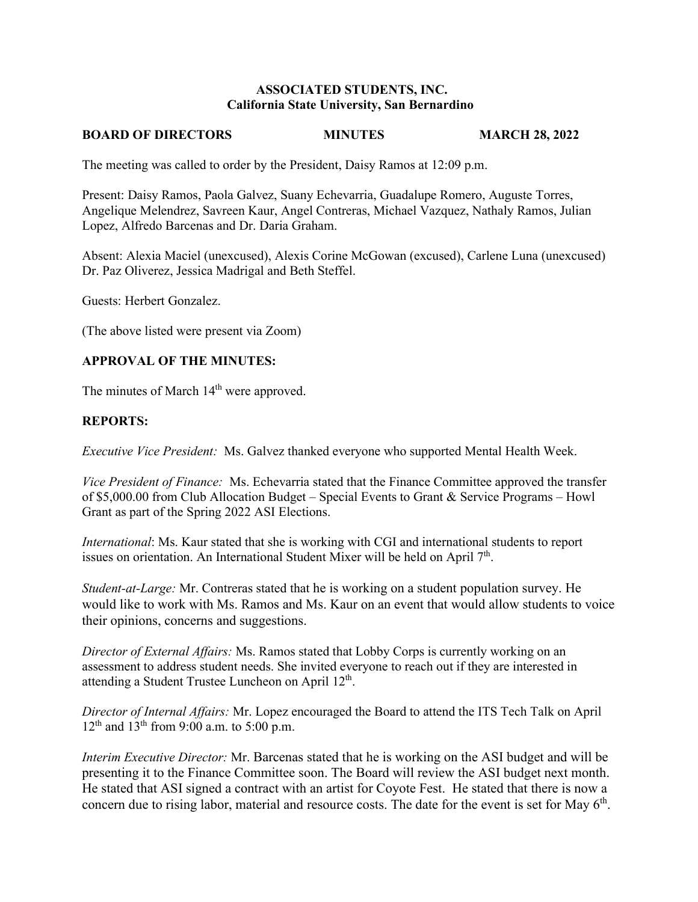### **ASSOCIATED STUDENTS, INC. California State University, San Bernardino**

#### **BOARD OF DIRECTORS MINUTES MARCH 28, 2022**

The meeting was called to order by the President, Daisy Ramos at 12:09 p.m.

Present: Daisy Ramos, Paola Galvez, Suany Echevarria, Guadalupe Romero, Auguste Torres, Angelique Melendrez, Savreen Kaur, Angel Contreras, Michael Vazquez, Nathaly Ramos, Julian Lopez, Alfredo Barcenas and Dr. Daria Graham.

Absent: Alexia Maciel (unexcused), Alexis Corine McGowan (excused), Carlene Luna (unexcused) Dr. Paz Oliverez, Jessica Madrigal and Beth Steffel.

Guests: Herbert Gonzalez.

(The above listed were present via Zoom)

## **APPROVAL OF THE MINUTES:**

The minutes of March 14<sup>th</sup> were approved.

### **REPORTS:**

*Executive Vice President:* Ms. Galvez thanked everyone who supported Mental Health Week.

*Vice President of Finance:* Ms. Echevarria stated that the Finance Committee approved the transfer of \$5,000.00 from Club Allocation Budget – Special Events to Grant & Service Programs – Howl Grant as part of the Spring 2022 ASI Elections.

*International*: Ms. Kaur stated that she is working with CGI and international students to report issues on orientation. An International Student Mixer will be held on April  $7<sup>th</sup>$ .

*Student-at-Large:* Mr. Contreras stated that he is working on a student population survey. He would like to work with Ms. Ramos and Ms. Kaur on an event that would allow students to voice their opinions, concerns and suggestions.

*Director of External Affairs:* Ms. Ramos stated that Lobby Corps is currently working on an assessment to address student needs. She invited everyone to reach out if they are interested in attending a Student Trustee Luncheon on April  $12<sup>th</sup>$ .

*Director of Internal Affairs:* Mr. Lopez encouraged the Board to attend the ITS Tech Talk on April  $12^{th}$  and  $13^{th}$  from 9:00 a.m. to 5:00 p.m.

*Interim Executive Director:* Mr. Barcenas stated that he is working on the ASI budget and will be presenting it to the Finance Committee soon. The Board will review the ASI budget next month. He stated that ASI signed a contract with an artist for Coyote Fest. He stated that there is now a concern due to rising labor, material and resource costs. The date for the event is set for May 6<sup>th</sup>.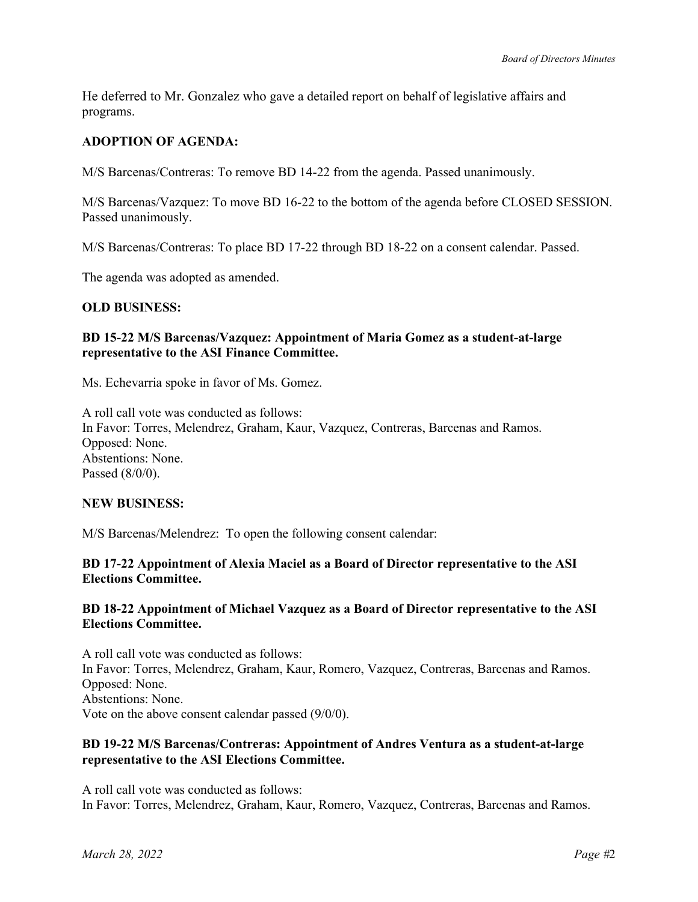He deferred to Mr. Gonzalez who gave a detailed report on behalf of legislative affairs and programs.

## **ADOPTION OF AGENDA:**

M/S Barcenas/Contreras: To remove BD 14-22 from the agenda. Passed unanimously.

M/S Barcenas/Vazquez: To move BD 16-22 to the bottom of the agenda before CLOSED SESSION. Passed unanimously.

M/S Barcenas/Contreras: To place BD 17-22 through BD 18-22 on a consent calendar. Passed.

The agenda was adopted as amended.

### **OLD BUSINESS:**

### **BD 15-22 M/S Barcenas/Vazquez: Appointment of Maria Gomez as a student-at-large representative to the ASI Finance Committee.**

Ms. Echevarria spoke in favor of Ms. Gomez.

A roll call vote was conducted as follows: In Favor: Torres, Melendrez, Graham, Kaur, Vazquez, Contreras, Barcenas and Ramos. Opposed: None. Abstentions: None. Passed (8/0/0).

#### **NEW BUSINESS:**

M/S Barcenas/Melendrez: To open the following consent calendar:

### **BD 17-22 Appointment of Alexia Maciel as a Board of Director representative to the ASI Elections Committee.**

### **BD 18-22 Appointment of Michael Vazquez as a Board of Director representative to the ASI Elections Committee.**

A roll call vote was conducted as follows: In Favor: Torres, Melendrez, Graham, Kaur, Romero, Vazquez, Contreras, Barcenas and Ramos. Opposed: None. Abstentions: None. Vote on the above consent calendar passed (9/0/0).

### **BD 19-22 M/S Barcenas/Contreras: Appointment of Andres Ventura as a student-at-large representative to the ASI Elections Committee.**

A roll call vote was conducted as follows: In Favor: Torres, Melendrez, Graham, Kaur, Romero, Vazquez, Contreras, Barcenas and Ramos.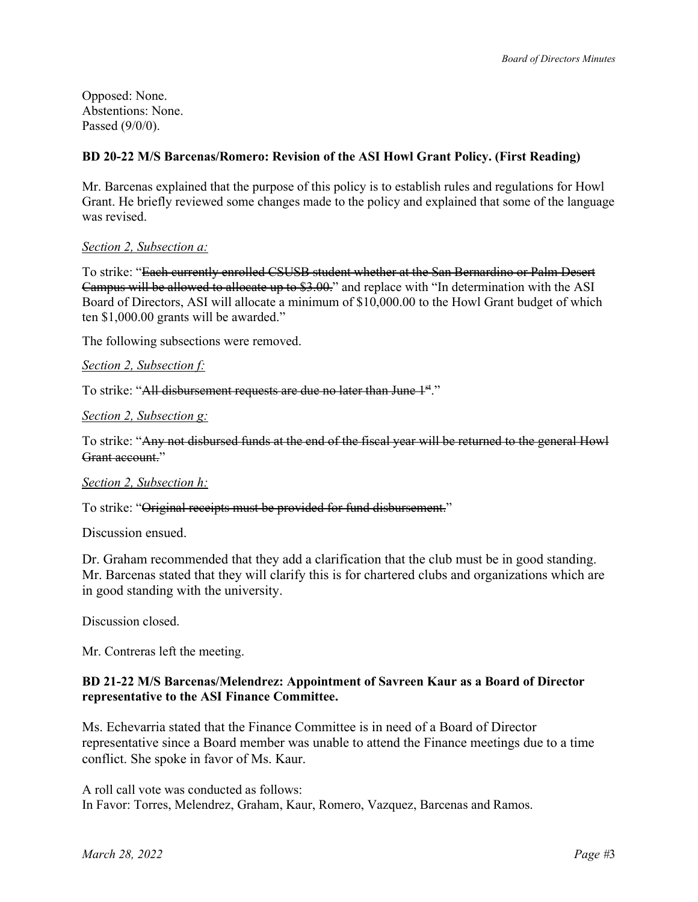Opposed: None. Abstentions: None. Passed (9/0/0).

# **BD 20-22 M/S Barcenas/Romero: Revision of the ASI Howl Grant Policy. (First Reading)**

Mr. Barcenas explained that the purpose of this policy is to establish rules and regulations for Howl Grant. He briefly reviewed some changes made to the policy and explained that some of the language was revised.

## *Section 2, Subsection a:*

To strike: "Each currently enrolled CSUSB student whether at the San Bernardino or Palm Desert Campus will be allowed to allocate up to \$3.00." and replace with "In determination with the ASI Board of Directors, ASI will allocate a minimum of \$10,000.00 to the Howl Grant budget of which ten \$1,000.00 grants will be awarded."

The following subsections were removed.

*Section 2, Subsection f:* 

To strike: "All disbursement requests are due no later than June 1<sup>st</sup>."

*Section 2, Subsection g:* 

To strike: "Any not disbursed funds at the end of the fiscal year will be returned to the general Howl Grant account."

#### *Section 2, Subsection h:*

To strike: "Original receipts must be provided for fund disbursement."

Discussion ensued.

Dr. Graham recommended that they add a clarification that the club must be in good standing. Mr. Barcenas stated that they will clarify this is for chartered clubs and organizations which are in good standing with the university.

Discussion closed.

Mr. Contreras left the meeting.

### **BD 21-22 M/S Barcenas/Melendrez: Appointment of Savreen Kaur as a Board of Director representative to the ASI Finance Committee.**

Ms. Echevarria stated that the Finance Committee is in need of a Board of Director representative since a Board member was unable to attend the Finance meetings due to a time conflict. She spoke in favor of Ms. Kaur.

A roll call vote was conducted as follows: In Favor: Torres, Melendrez, Graham, Kaur, Romero, Vazquez, Barcenas and Ramos.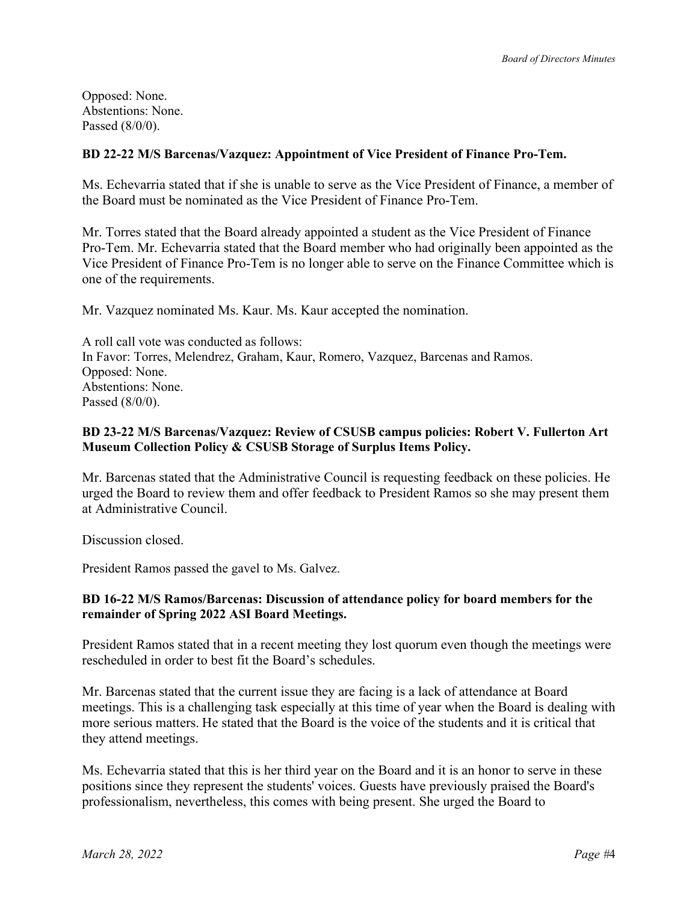Opposed: None. Abstentions: None. Passed (8/0/0).

# **BD 22-22 M/S Barcenas/Vazquez: Appointment of Vice President of Finance Pro-Tem.**

Ms. Echevarria stated that if she is unable to serve as the Vice President of Finance, a member of the Board must be nominated as the Vice President of Finance Pro-Tem.

Mr. Torres stated that the Board already appointed a student as the Vice President of Finance Pro-Tem. Mr. Echevarria stated that the Board member who had originally been appointed as the Vice President of Finance Pro-Tem is no longer able to serve on the Finance Committee which is one of the requirements.

Mr. Vazquez nominated Ms. Kaur. Ms. Kaur accepted the nomination.

A roll call vote was conducted as follows: In Favor: Torres, Melendrez, Graham, Kaur, Romero, Vazquez, Barcenas and Ramos. Opposed: None. Abstentions: None. Passed (8/0/0).

### **BD 23-22 M/S Barcenas/Vazquez: Review of CSUSB campus policies: Robert V. Fullerton Art Museum Collection Policy & CSUSB Storage of Surplus Items Policy.**

Mr. Barcenas stated that the Administrative Council is requesting feedback on these policies. He urged the Board to review them and offer feedback to President Ramos so she may present them at Administrative Council.

Discussion closed.

President Ramos passed the gavel to Ms. Galvez.

## **BD 16-22 M/S Ramos/Barcenas: Discussion of attendance policy for board members for the remainder of Spring 2022 ASI Board Meetings.**

President Ramos stated that in a recent meeting they lost quorum even though the meetings were rescheduled in order to best fit the Board's schedules.

Mr. Barcenas stated that the current issue they are facing is a lack of attendance at Board meetings. This is a challenging task especially at this time of year when the Board is dealing with more serious matters. He stated that the Board is the voice of the students and it is critical that they attend meetings.

Ms. Echevarria stated that this is her third year on the Board and it is an honor to serve in these positions since they represent the students' voices. Guests have previously praised the Board's professionalism, nevertheless, this comes with being present. She urged the Board to